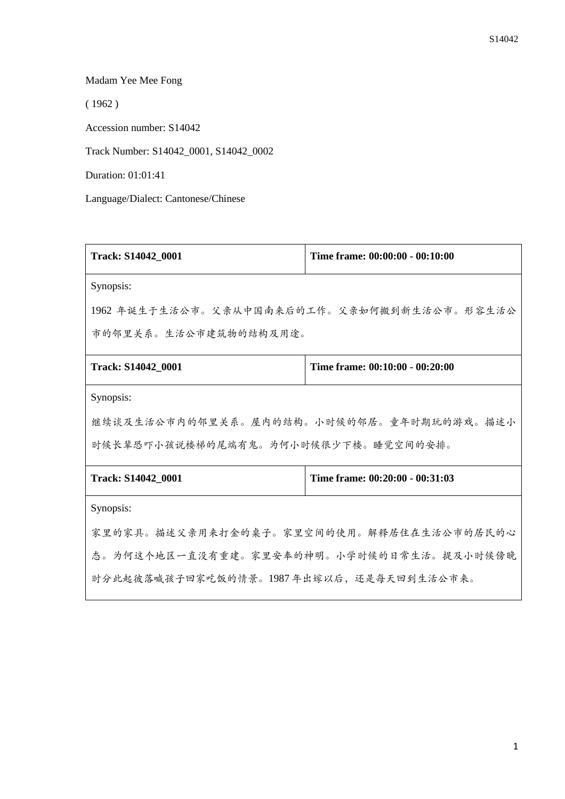## Madam Yee Mee Fong

( 1962 )

Accession number: S14042

Track Number: S14042\_0001, S14042\_0002

Duration: 01:01:41

Language/Dialect: Cantonese/Chinese

| Track: S14042_0001                          | Time frame: 00:00:00 - 00:10:00 |  |
|---------------------------------------------|---------------------------------|--|
| Synopsis:                                   |                                 |  |
| 1962 年诞生于生活公市。父亲从中国南来后的工作。父亲如何搬到新生活公市。形容生活公 |                                 |  |
| 市的邻里关系。生活公市建筑物的结构及用途。                       |                                 |  |
| Track: S14042 0001                          | Time frame: 00:10:00 - 00:20:00 |  |
| Synopsis:                                   |                                 |  |
| 继续谈及生活公市内的邻里关系。屋内的结构。小时候的邻居。童年时期玩的游戏。描述小    |                                 |  |
| 时候长辈恐吓小孩说楼梯的尾端有鬼。为何小时候很少下楼。睡觉空间的安排。         |                                 |  |
| Track: S14042_0001                          | Time frame: 00:20:00 - 00:31:03 |  |
| Synopsis:                                   |                                 |  |
| 家里的家具。描述父亲用来打金的桌子。家里空间的使用。解释居住在生活公市的居民的心    |                                 |  |
| 态。为何这个地区一直没有重建。家里安奉的神明。小学时候的日常生活。提及小时候傍晚    |                                 |  |
| 时分此起彼落喊孩子回家吃饭的情景。1987年出嫁以后,还是每天回到生活公市来。     |                                 |  |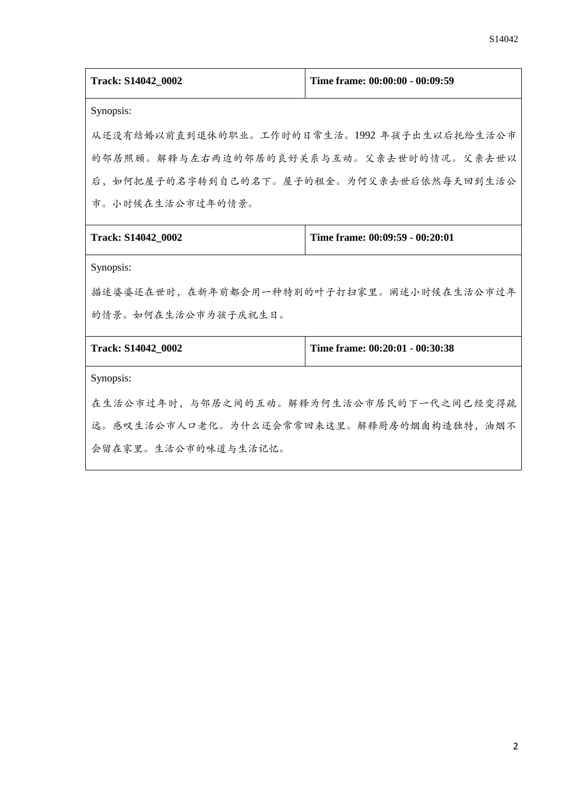| Track: S14042_0002                         | Time frame: 00:00:00 - 00:09:59 |  |
|--------------------------------------------|---------------------------------|--|
| Synopsis:                                  |                                 |  |
| 从还没有结婚以前直到退休的职业。工作时的日常生活。1992年孩子出生以后托给生活公市 |                                 |  |
| 的邻居照顾。解释与左右两边的邻居的良好关系与互动。父亲去世时的情况。父亲去世以    |                                 |  |
| 后,如何把屋子的名字转到自己的名下。屋子的租金。为何父亲去世后依然每天回到生活公   |                                 |  |
| 市。小时候在生活公市过年的情景。                           |                                 |  |
| Track: S14042_0002                         | Time frame: 00:09:59 - 00:20:01 |  |
| Synopsis:                                  |                                 |  |
| 描述婆婆还在世时,在新年前都会用一种特别的叶子打扫家里。阐述小时候在生活公市过年   |                                 |  |
| 的情景。如何在生活公市为孩子庆祝生日。                        |                                 |  |
| Track: S14042 0002                         | Time frame: 00:20:01 - 00:30:38 |  |
| Synopsis:                                  |                                 |  |
| 在生活公市过年时,与邻居之间的互动。解释为何生活公市居民的下一代之间已经变得疏    |                                 |  |
| 远。感叹生活公市人口老化。为什么还会常常回来这里。解释厨房的烟囱构造独特,油烟不   |                                 |  |
| 会留在家里。生活公市的味道与生活记忆。                        |                                 |  |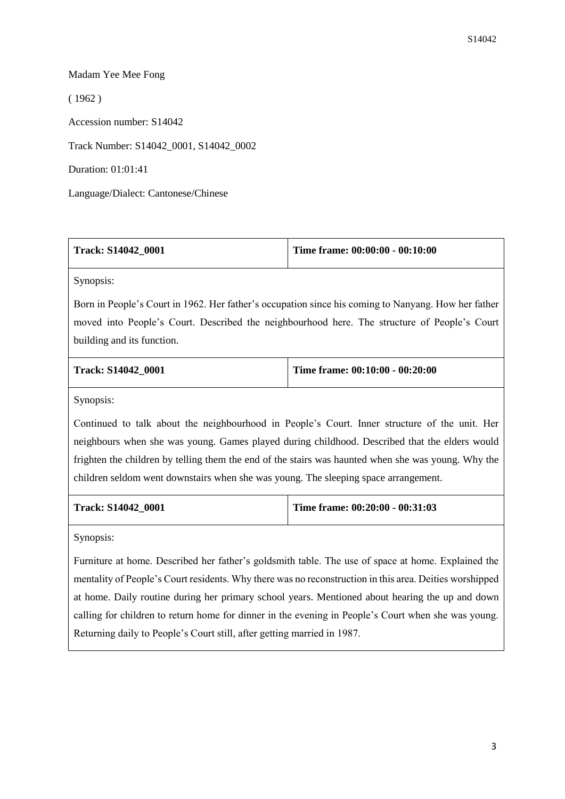## Madam Yee Mee Fong

( 1962 )

Accession number: S14042

Track Number: S14042\_0001, S14042\_0002

Duration: 01:01:41

Language/Dialect: Cantonese/Chinese

| Track: S14042 0001 | Time frame: $00:00:00 - 00:10:00$ |
|--------------------|-----------------------------------|
|                    |                                   |

Synopsis:

Born in People's Court in 1962. Her father's occupation since his coming to Nanyang. How her father moved into People's Court. Described the neighbourhood here. The structure of People's Court building and its function.

| <b>Track: S14042 0001</b> | Time frame: $00:10:00 - 00:20:00$ |
|---------------------------|-----------------------------------|
|                           |                                   |

Synopsis:

Continued to talk about the neighbourhood in People's Court. Inner structure of the unit. Her neighbours when she was young. Games played during childhood. Described that the elders would frighten the children by telling them the end of the stairs was haunted when she was young. Why the children seldom went downstairs when she was young. The sleeping space arrangement.

**Track: S14042\_0001 Time frame: 00:20:00 - 00:31:03**

Synopsis:

Furniture at home. Described her father's goldsmith table. The use of space at home. Explained the mentality of People's Court residents. Why there was no reconstruction in this area. Deities worshipped at home. Daily routine during her primary school years. Mentioned about hearing the up and down calling for children to return home for dinner in the evening in People's Court when she was young. Returning daily to People's Court still, after getting married in 1987.